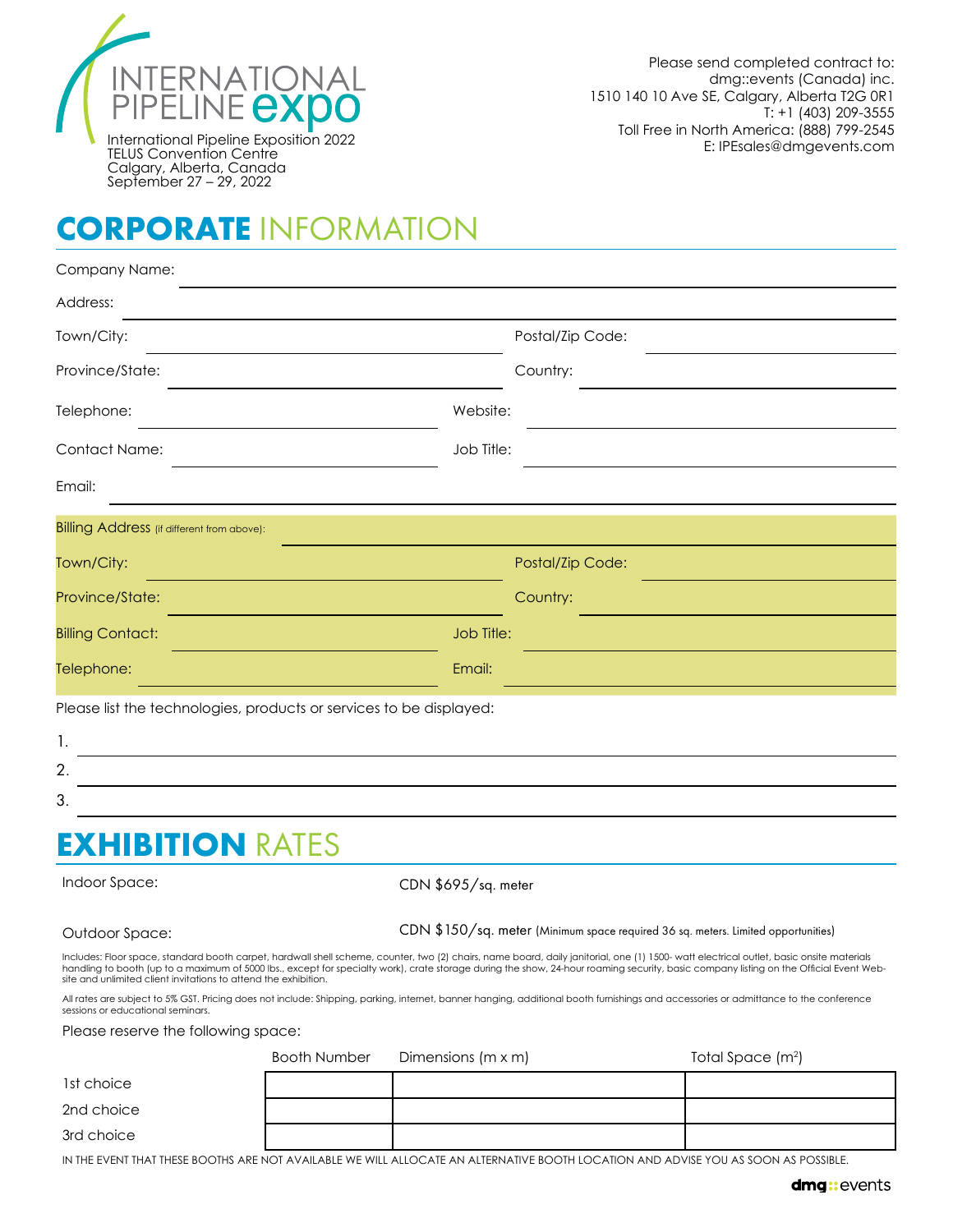

# **CORPORATE** INFORMATION

| Company Name:                                                       |                     |                                                                                                                                                                                                                                                                                                                                                                                    |
|---------------------------------------------------------------------|---------------------|------------------------------------------------------------------------------------------------------------------------------------------------------------------------------------------------------------------------------------------------------------------------------------------------------------------------------------------------------------------------------------|
| Address:                                                            |                     |                                                                                                                                                                                                                                                                                                                                                                                    |
| Town/City:                                                          |                     | Postal/Zip Code:                                                                                                                                                                                                                                                                                                                                                                   |
| Province/State:                                                     |                     | Country:                                                                                                                                                                                                                                                                                                                                                                           |
| Telephone:                                                          | Website:            |                                                                                                                                                                                                                                                                                                                                                                                    |
| Contact Name:                                                       | Job Title:          |                                                                                                                                                                                                                                                                                                                                                                                    |
| Email:                                                              |                     |                                                                                                                                                                                                                                                                                                                                                                                    |
| Billing Address (if different from above):                          |                     |                                                                                                                                                                                                                                                                                                                                                                                    |
| Town/City:                                                          |                     | Postal/Zip Code:                                                                                                                                                                                                                                                                                                                                                                   |
| Province/State:                                                     |                     | Country:                                                                                                                                                                                                                                                                                                                                                                           |
| <b>Billing Contact:</b>                                             | Job Title:          |                                                                                                                                                                                                                                                                                                                                                                                    |
| Telephone:                                                          | Email:              |                                                                                                                                                                                                                                                                                                                                                                                    |
| Please list the technologies, products or services to be displayed: |                     |                                                                                                                                                                                                                                                                                                                                                                                    |
| 1.                                                                  |                     |                                                                                                                                                                                                                                                                                                                                                                                    |
| 2.                                                                  |                     |                                                                                                                                                                                                                                                                                                                                                                                    |
| 3.                                                                  |                     |                                                                                                                                                                                                                                                                                                                                                                                    |
| <b>EXHIBITION RATES</b>                                             |                     |                                                                                                                                                                                                                                                                                                                                                                                    |
| Indoor Space:                                                       | CDN \$695/sq. meter |                                                                                                                                                                                                                                                                                                                                                                                    |
| Outdoor Space:                                                      |                     | CDN \$150/sq. meter (Minimum space required 36 sq. meters. Limited opportunities)                                                                                                                                                                                                                                                                                                  |
| site and unlimited client invitations to attend the exhibition.     |                     | Includes: Floor space, standard booth carpet, hardwall shell scheme, counter, two (2) chairs, name board, daily janitorial, one (1) 1500- watt electrical outlet, basic onsite materials<br>handling to booth (up to a maximum of 5000 lbs., except for specialty work), crate storage during the show, 24-hour roaming security, basic company listing on the Official Event Web- |
| sessions or educational seminars.                                   |                     | All rates are subject to 5% GST. Pricing does not include: Shipping, parking, internet, banner hanging, additional booth furnishings and accessories or admittance to the conference                                                                                                                                                                                               |

Please reserve the following space:

|            | Booth Number | Dimensions (m x m) | Total Space $(m2)$ |
|------------|--------------|--------------------|--------------------|
| 1st choice |              |                    |                    |
| 2nd choice |              |                    |                    |
| 3rd choice |              |                    |                    |

IN THE EVENT THAT THESE BOOTHS ARE NOT AVAILABLE WE WILL ALLOCATE AN ALTERNATIVE BOOTH LOCATION AND ADVISE YOU AS SOON AS POSSIBLE.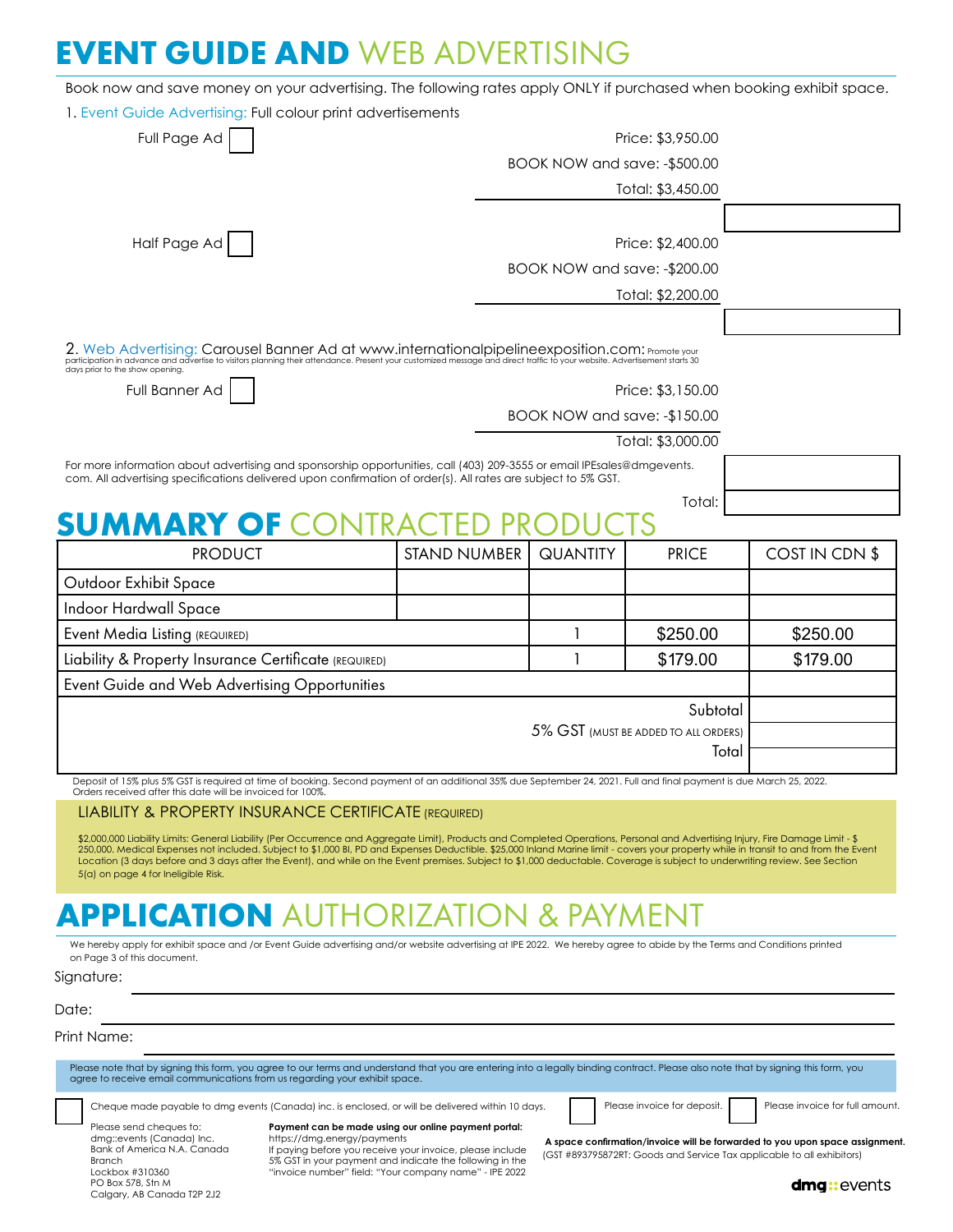## **EVENT GUIDE AND** WEB ADVERTISING

Book now and save money on your advertising. The following rates apply ONLY if purchased when booking exhibit space.

|                                                                                                                                                                                                                                                                                                                                                                                                                                                                                                                                                                                                  | 1. Event Guide Advertising: Full colour print advertisements |                               |                                      |                |  |  |
|--------------------------------------------------------------------------------------------------------------------------------------------------------------------------------------------------------------------------------------------------------------------------------------------------------------------------------------------------------------------------------------------------------------------------------------------------------------------------------------------------------------------------------------------------------------------------------------------------|--------------------------------------------------------------|-------------------------------|--------------------------------------|----------------|--|--|
| Full Page Ad                                                                                                                                                                                                                                                                                                                                                                                                                                                                                                                                                                                     |                                                              | Price: \$3,950.00             |                                      |                |  |  |
|                                                                                                                                                                                                                                                                                                                                                                                                                                                                                                                                                                                                  |                                                              | BOOK NOW and save: - \$500.00 |                                      |                |  |  |
|                                                                                                                                                                                                                                                                                                                                                                                                                                                                                                                                                                                                  |                                                              |                               | Total: \$3,450.00                    |                |  |  |
| Half Page Ad                                                                                                                                                                                                                                                                                                                                                                                                                                                                                                                                                                                     |                                                              |                               | Price: \$2,400.00                    |                |  |  |
|                                                                                                                                                                                                                                                                                                                                                                                                                                                                                                                                                                                                  |                                                              | BOOK NOW and save: - \$200.00 |                                      |                |  |  |
|                                                                                                                                                                                                                                                                                                                                                                                                                                                                                                                                                                                                  |                                                              |                               | Total: \$2,200.00                    |                |  |  |
|                                                                                                                                                                                                                                                                                                                                                                                                                                                                                                                                                                                                  |                                                              |                               |                                      |                |  |  |
| 2. Web Advertising: Carousel Banner Ad at www.internationalpipelineexposition.com: Promote your<br>participation in advance and advertise to visitors planning their attendance. Present your customized message and direct traffic to your website. Advertisement starts 30                                                                                                                                                                                                                                                                                                                     |                                                              |                               |                                      |                |  |  |
| days prior to the show opening.<br>Full Banner Ad                                                                                                                                                                                                                                                                                                                                                                                                                                                                                                                                                |                                                              |                               | Price: \$3,150.00                    |                |  |  |
|                                                                                                                                                                                                                                                                                                                                                                                                                                                                                                                                                                                                  |                                                              | BOOK NOW and save: -\$150.00  |                                      |                |  |  |
|                                                                                                                                                                                                                                                                                                                                                                                                                                                                                                                                                                                                  |                                                              |                               | Total: \$3,000.00                    |                |  |  |
| For more information about advertising and sponsorship opportunities, call (403) 209-3555 or email IPEsales@dmgevents.<br>com. All advertising specifications delivered upon confirmation of order(s). All rates are subject to 5% GST.                                                                                                                                                                                                                                                                                                                                                          |                                                              |                               |                                      |                |  |  |
|                                                                                                                                                                                                                                                                                                                                                                                                                                                                                                                                                                                                  |                                                              |                               | Total:                               |                |  |  |
| <b>SUMMARY OF OF</b>                                                                                                                                                                                                                                                                                                                                                                                                                                                                                                                                                                             |                                                              |                               |                                      |                |  |  |
| <b>PRODUCT</b>                                                                                                                                                                                                                                                                                                                                                                                                                                                                                                                                                                                   | <b>STAND NUMBER</b>                                          | <b>QUANTITY</b>               | <b>PRICE</b>                         | COST IN CDN \$ |  |  |
|                                                                                                                                                                                                                                                                                                                                                                                                                                                                                                                                                                                                  |                                                              |                               |                                      |                |  |  |
|                                                                                                                                                                                                                                                                                                                                                                                                                                                                                                                                                                                                  |                                                              |                               |                                      |                |  |  |
|                                                                                                                                                                                                                                                                                                                                                                                                                                                                                                                                                                                                  |                                                              |                               |                                      |                |  |  |
|                                                                                                                                                                                                                                                                                                                                                                                                                                                                                                                                                                                                  |                                                              | 1                             | \$250.00                             | \$250.00       |  |  |
|                                                                                                                                                                                                                                                                                                                                                                                                                                                                                                                                                                                                  |                                                              | 1                             | \$179.00                             | \$179.00       |  |  |
|                                                                                                                                                                                                                                                                                                                                                                                                                                                                                                                                                                                                  |                                                              |                               |                                      |                |  |  |
|                                                                                                                                                                                                                                                                                                                                                                                                                                                                                                                                                                                                  |                                                              |                               | Subtotal                             |                |  |  |
|                                                                                                                                                                                                                                                                                                                                                                                                                                                                                                                                                                                                  |                                                              |                               | 5% GST (MUST BE ADDED TO ALL ORDERS) |                |  |  |
|                                                                                                                                                                                                                                                                                                                                                                                                                                                                                                                                                                                                  |                                                              |                               | Total                                |                |  |  |
| Deposit of 15% plus 5% GST is required at time of booking. Second payment of an additional 35% due September 24, 2021. Full and final payment is due March 25, 2022                                                                                                                                                                                                                                                                                                                                                                                                                              |                                                              |                               |                                      |                |  |  |
| Orders received after this date will be invoiced for 100%.<br><b>LIABILITY &amp; PROPERTY INSURANCE CERTIFICATE (REQUIRED)</b>                                                                                                                                                                                                                                                                                                                                                                                                                                                                   |                                                              |                               |                                      |                |  |  |
| \$2,000,000 Liability Limits: General Liability (Per Occurrence and Aggregate Limit), Products and Completed Operations, Personal and Advertising Injury, Fire Damage Limit - \$<br>250,000. Medical Expenses not included. Subject to \$1,000 Bl, PD and Expenses Deductible. \$25,000 Inland Marine limit - covers your property while in transit to and from the Event<br>Location (3 days before and 3 days after the Event), and while on the Event premises. Subject to \$1,000 deductable. Coverage is subject to underwriting review. See Section<br>5(a) on page 4 for Ineligible Risk. |                                                              |                               |                                      |                |  |  |
|                                                                                                                                                                                                                                                                                                                                                                                                                                                                                                                                                                                                  |                                                              |                               |                                      |                |  |  |
|                                                                                                                                                                                                                                                                                                                                                                                                                                                                                                                                                                                                  |                                                              |                               |                                      |                |  |  |
|                                                                                                                                                                                                                                                                                                                                                                                                                                                                                                                                                                                                  |                                                              |                               |                                      |                |  |  |
|                                                                                                                                                                                                                                                                                                                                                                                                                                                                                                                                                                                                  |                                                              |                               |                                      |                |  |  |
| Outdoor Exhibit Space<br>Indoor Hardwall Space<br><b>Event Media Listing (REQUIRED)</b><br>Liability & Property Insurance Certificate (REQUIRED)<br>Event Guide and Web Advertising Opportunities<br><b>APPLICATION</b> AUTHORIZATION & PAYMENT<br>We hereby apply for exhibit space and /or Event Guide advertising and/or website advertising at IPE 2022. We hereby agree to abide by the Terms and Conditions printed<br>on Page 3 of this document.<br>Signature:<br>Date:                                                                                                                  |                                                              |                               |                                      |                |  |  |

Cheque made payable to dmg events (Canada) inc. is enclosed, or will be delivered within 10 days.

Please invoice for deposit. Please invoice for full amount.

Please send cheques to: dmg::events (Canada) Inc. Bank of America N.A. Canada Branch Lockbox #310360 PO Box 578, Stn M Calgary, AB Canada T2P 2J2

**Payment can be made using our online payment portal:**

https://dmg.energy/payments<br>If paying before you receive your invoice, please include<br>5% GST in your payment and indicate the following in the<br>"invoice number" field: "Your company name" - IPE 2022

 **A space confirmation/invoice will be forwarded to you upon space assignment.** (GST #893795872RT: Goods and Service Tax applicable to all exhibitors)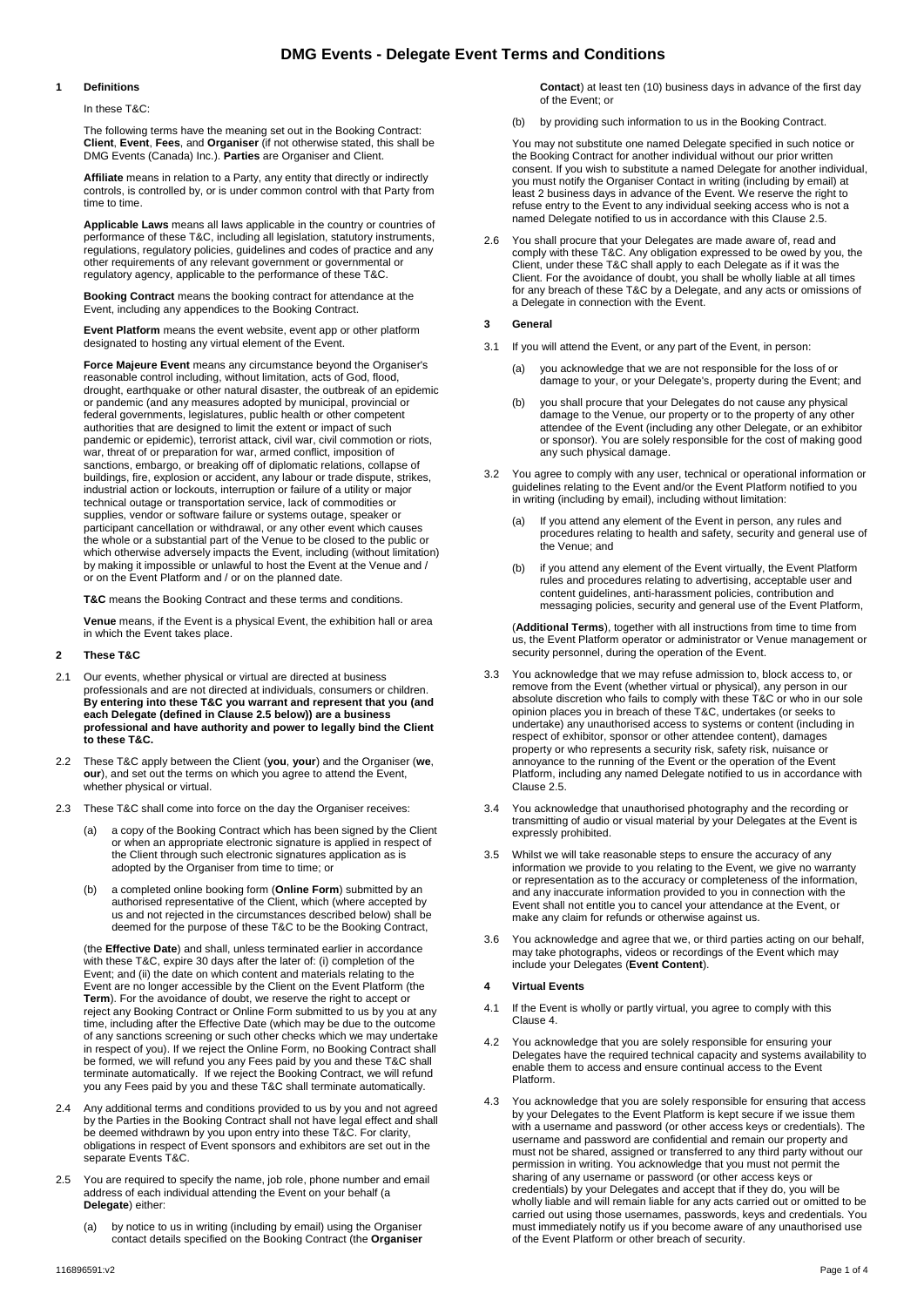### **DMG Events - Delegate Event Terms and Conditions**

#### **1 Definitions**

In these T&C:

The following terms have the meaning set out in the Booking Contract: **Client**, **Event**, **Fees**, and **Organiser** (if not otherwise stated, this shall be DMG Events (Canada) Inc.). **Parties** are Organiser and Client.

**Affiliate** means in relation to a Party, any entity that directly or indirectly controls, is controlled by, or is under common control with that Party from time to time.

**Applicable Laws** means all laws applicable in the country or countries of performance of these T&C, including all legislation, statutory instruments, regulations, regulatory policies, guidelines and codes of practice and any other requirements of any relevant government or governmental or regulatory agency, applicable to the performance of these T&C.

**Booking Contract** means the booking contract for attendance at the Event, including any appendices to the Booking Contract.

**Event Platform** means the event website, event app or other platform designated to hosting any virtual element of the Event.

**Force Majeure Event** means any circumstance beyond the Organiser's reasonable control including, without limitation, acts of God, flood, drought, earthquake or other natural disaster, the outbreak of an epidemic or pandemic (and any measures adopted by municipal, provincial or federal governments, legislatures, public health or other competent authorities that are designed to limit the extent or impact of such pandemic or epidemic), terrorist attack, civil war, civil commotion or riots, war, threat of or preparation for war, armed conflict, imposition of sanctions, embargo, or breaking off of diplomatic relations, collapse of buildings, fire, explosion or accident, any labour or trade dispute, strikes, industrial action or lockouts, interruption or failure of a utility or major technical outage or transportation service, lack of commodities or supplies, vendor or software failure or systems outage, speaker or participant cancellation or withdrawal, or any other event which causes the whole or a substantial part of the Venue to be closed to the public or which otherwise adversely impacts the Event, including (without limitation) by making it impossible or unlawful to host the Event at the Venue and / or on the Event Platform and / or on the planned date.

**T&C** means the Booking Contract and these terms and conditions.

**Venue** means, if the Event is a physical Event, the exhibition hall or area in which the Event takes place.

#### **2 These T&C**

- 2.1 Our events, whether physical or virtual are directed at business professionals and are not directed at individuals, consumers or children. **By entering into these T&C you warrant and represent that you (and each Delegate (defined in Clause 2.5 below)) are a business professional and have authority and power to legally bind the Client to these T&C.**
- 2.2 These T&C apply between the Client (**you**, **your**) and the Organiser (**we**, **our**), and set out the terms on which you agree to attend the Event, whether physical or virtual.
- 2.3 These T&C shall come into force on the day the Organiser receives:
	- a copy of the Booking Contract which has been signed by the Client or when an appropriate electronic signature is applied in respect of the Client through such electronic signatures application as is adopted by the Organiser from time to time; or
	- (b) a completed online booking form (**Online Form**) submitted by an authorised representative of the Client, which (where accepted by us and not rejected in the circumstances described below) shall be deemed for the purpose of these T&C to be the Booking Contract,

(the **Effective Date**) and shall, unless terminated earlier in accordance with these T&C, expire 30 days after the later of: (i) completion of the Event; and (ii) the date on which content and materials relating to the Event are no longer accessible by the Client on the Event Platform (the **Term**). For the avoidance of doubt, we reserve the right to accept or reject any Booking Contract or Online Form submitted to us by you at any time, including after the Effective Date (which may be due to the outcome of any sanctions screening or such other checks which we may undertake in respect of you). If we reject the Online Form, no Booking Contract shall be formed, we will refund you any Fees paid by you and these T&C shall terminate automatically. If we reject the Booking Contract, we will refund you any Fees paid by you and these T&C shall terminate automatically.

- 2.4 Any additional terms and conditions provided to us by you and not agreed by the Parties in the Booking Contract shall not have legal effect and shall be deemed withdrawn by you upon entry into these T&C. For clarity, obligations in respect of Event sponsors and exhibitors are set out in the separate Events T&C.
- 2.5 You are required to specify the name, job role, phone number and email address of each individual attending the Event on your behalf (a **Delegate**) either:
	- (a) by notice to us in writing (including by email) using the Organiser contact details specified on the Booking Contract (the **Organiser**

**Contact**) at least ten (10) business days in advance of the first day of the Event; or

(b) by providing such information to us in the Booking Contract.

You may not substitute one named Delegate specified in such notice or the Booking Contract for another individual without our prior written consent. If you wish to substitute a named Delegate for another individual, you must notify the Organiser Contact in writing (including by email) at least 2 business days in advance of the Event. We reserve the right to refuse entry to the Event to any individual seeking access who is not a named Delegate notified to us in accordance with this Clause 2.5.

- 2.6 You shall procure that your Delegates are made aware of, read and comply with these T&C. Any obligation expressed to be owed by you, the Client, under these T&C shall apply to each Delegate as if it was the Client. For the avoidance of doubt, you shall be wholly liable at all times for any breach of these T&C by a Delegate, and any acts or omissions of a Delegate in connection with the Event.
- **3 General**
- 3.1 If you will attend the Event, or any part of the Event, in person:
	- (a) you acknowledge that we are not responsible for the loss of or damage to your, or your Delegate's, property during the Event; and
	- (b) you shall procure that your Delegates do not cause any physical damage to the Venue, our property or to the property of any other attendee of the Event (including any other Delegate, or an exhibitor or sponsor). You are solely responsible for the cost of making good any such physical damage.
- 3.2 You agree to comply with any user, technical or operational information or guidelines relating to the Event and/or the Event Platform notified to you in writing (including by email), including without limitation:
	- (a) If you attend any element of the Event in person, any rules and procedures relating to health and safety, security and general use of the Venue; and
	- (b) if you attend any element of the Event virtually, the Event Platform rules and procedures relating to advertising, acceptable user and content guidelines, anti-harassment policies, contribution and messaging policies, security and general use of the Event Platform,

(**Additional Terms**), together with all instructions from time to time from us, the Event Platform operator or administrator or Venue management or security personnel, during the operation of the Event.

- 3.3 You acknowledge that we may refuse admission to, block access to, or remove from the Event (whether virtual or physical), any person in our absolute discretion who fails to comply with these T&C or who in our sole opinion places you in breach of these T&C, undertakes (or seeks to undertake) any unauthorised access to systems or content (including in respect of exhibitor, sponsor or other attendee content), damages property or who represents a security risk, safety risk, nuisance or annoyance to the running of the Event or the operation of the Event Platform, including any named Delegate notified to us in accordance with Clause 2.5.
- 3.4 You acknowledge that unauthorised photography and the recording or transmitting of audio or visual material by your Delegates at the Event is expressly prohibited.
- 3.5 Whilst we will take reasonable steps to ensure the accuracy of any information we provide to you relating to the Event, we give no warranty or representation as to the accuracy or completeness of the information, and any inaccurate information provided to you in connection with the Event shall not entitle you to cancel your attendance at the Event, or make any claim for refunds or otherwise against us.
- 3.6 You acknowledge and agree that we, or third parties acting on our behalf, may take photographs, videos or recordings of the Event which may include your Delegates (**Event Content**).

#### **4 Virtual Events**

- 4.1 If the Event is wholly or partly virtual, you agree to comply with this Clause 4.
- 4.2 You acknowledge that you are solely responsible for ensuring your Delegates have the required technical capacity and systems availability to enable them to access and ensure continual access to the Event Platform.
- 4.3 You acknowledge that you are solely responsible for ensuring that access by your Delegates to the Event Platform is kept secure if we issue them with a username and password (or other access keys or credentials). The username and password are confidential and remain our property and must not be shared, assigned or transferred to any third party without our permission in writing. You acknowledge that you must not permit the sharing of any username or password (or other access keys or credentials) by your Delegates and accept that if they do, you will be wholly liable and will remain liable for any acts carried out or omitted to be carried out using those usernames, passwords, keys and credentials. You must immediately notify us if you become aware of any unauthorised use of the Event Platform or other breach of security.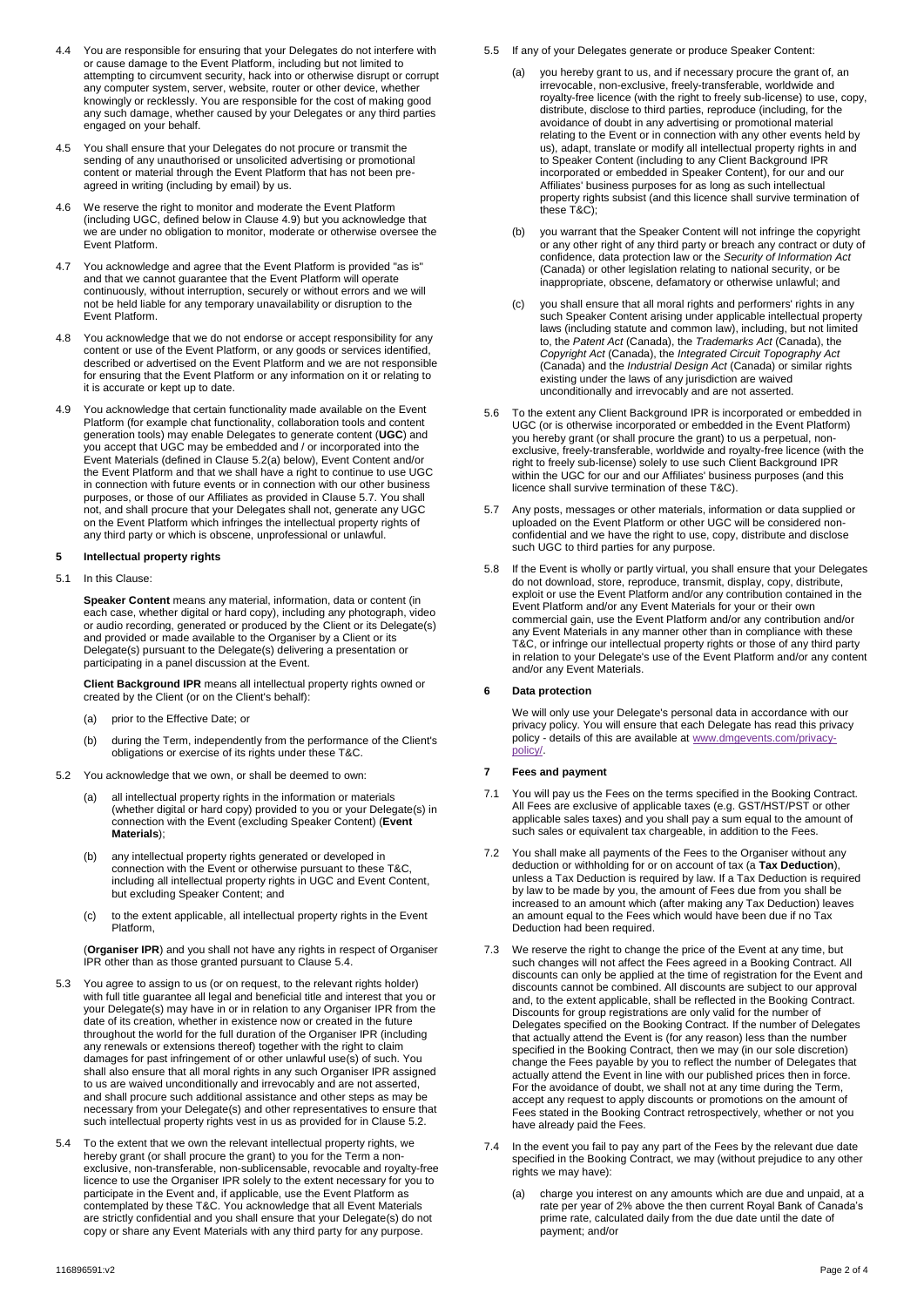- 4.4 You are responsible for ensuring that your Delegates do not interfere with or cause damage to the Event Platform, including but not limited to attempting to circumvent security, hack into or otherwise disrupt or corrupt any computer system, server, website, router or other device, whether knowingly or recklessly. You are responsible for the cost of making good any such damage, whether caused by your Delegates or any third parties engaged on your behalf.
- 4.5 You shall ensure that your Delegates do not procure or transmit the sending of any unauthorised or unsolicited advertising or promotional content or material through the Event Platform that has not been preagreed in writing (including by email) by us.
- 4.6 We reserve the right to monitor and moderate the Event Platform (including UGC, defined below in Clause 4.9) but you acknowledge that we are under no obligation to monitor, moderate or otherwise oversee the Event Platform.
- 4.7 You acknowledge and agree that the Event Platform is provided "as is" and that we cannot guarantee that the Event Platform will operate continuously, without interruption, securely or without errors and we will not be held liable for any temporary unavailability or disruption to the Event Platform.
- 4.8 You acknowledge that we do not endorse or accept responsibility for any content or use of the Event Platform, or any goods or services identified, described or advertised on the Event Platform and we are not responsible for ensuring that the Event Platform or any information on it or relating to it is accurate or kept up to date.
- 4.9 You acknowledge that certain functionality made available on the Event Platform (for example chat functionality, collaboration tools and content generation tools) may enable Delegates to generate content (**UGC**) and you accept that UGC may be embedded and / or incorporated into the Event Materials (defined in Clause 5.2(a) below), Event Content and/or the Event Platform and that we shall have a right to continue to use UGC in connection with future events or in connection with our other business purposes, or those of our Affiliates as provided in Clause 5.7. You shall not, and shall procure that your Delegates shall not, generate any UGC on the Event Platform which infringes the intellectual property rights of any third party or which is obscene, unprofessional or unlawful.

#### **5 Intellectual property rights**

5.1 In this Clause:

**Speaker Content** means any material, information, data or content (in each case, whether digital or hard copy), including any photograph, video or audio recording, generated or produced by the Client or its Delegate(s) and provided or made available to the Organiser by a Client or its Delegate(s) pursuant to the Delegate(s) delivering a presentation or participating in a panel discussion at the Event.

**Client Background IPR** means all intellectual property rights owned or created by the Client (or on the Client's behalf):

- (a) prior to the Effective Date; or
- (b) during the Term, independently from the performance of the Client's obligations or exercise of its rights under these T&C.
- 5.2 You acknowledge that we own, or shall be deemed to own:
	- (a) all intellectual property rights in the information or materials (whether digital or hard copy) provided to you or your Delegate(s) in connection with the Event (excluding Speaker Content) (**Event Materials**);
	- (b) any intellectual property rights generated or developed in connection with the Event or otherwise pursuant to these T&C, including all intellectual property rights in UGC and Event Content, but excluding Speaker Content; and
	- (c) to the extent applicable, all intellectual property rights in the Event Platform,

(**Organiser IPR**) and you shall not have any rights in respect of Organiser IPR other than as those granted pursuant to Clause 5.4.

- You agree to assign to us (or on request, to the relevant rights holder) with full title guarantee all legal and beneficial title and interest that you or your Delegate(s) may have in or in relation to any Organiser IPR from the date of its creation, whether in existence now or created in the future throughout the world for the full duration of the Organiser IPR (including any renewals or extensions thereof) together with the right to claim damages for past infringement of or other unlawful use(s) of such. You shall also ensure that all moral rights in any such Organiser IPR assigned to us are waived unconditionally and irrevocably and are not asserted, and shall procure such additional assistance and other steps as may be necessary from your Delegate(s) and other representatives to ensure that such intellectual property rights vest in us as provided for in Clause 5.2.
- 5.4 To the extent that we own the relevant intellectual property rights, we hereby grant (or shall procure the grant) to you for the Term a nonexclusive, non-transferable, non-sublicensable, revocable and royalty-free licence to use the Organiser IPR solely to the extent necessary for you to participate in the Event and, if applicable, use the Event Platform as contemplated by these T&C. You acknowledge that all Event Materials are strictly confidential and you shall ensure that your Delegate(s) do not copy or share any Event Materials with any third party for any purpose.
- 5.5 If any of your Delegates generate or produce Speaker Content:
	- you hereby grant to us, and if necessary procure the grant of, an irrevocable, non-exclusive, freely-transferable, worldwide and royalty-free licence (with the right to freely sub-license) to use, copy, distribute, disclose to third parties, reproduce (including, for the avoidance of doubt in any advertising or promotional material relating to the Event or in connection with any other events held by us), adapt, translate or modify all intellectual property rights in and to Speaker Content (including to any Client Background IPR incorporated or embedded in Speaker Content), for our and our Affiliates' business purposes for as long as such intellectual property rights subsist (and this licence shall survive termination of these T&C);
	- (b) you warrant that the Speaker Content will not infringe the copyright or any other right of any third party or breach any contract or duty of confidence, data protection law or the *Security of Information Act* (Canada) or other legislation relating to national security, or be inappropriate, obscene, defamatory or otherwise unlawful; and
	- (c) you shall ensure that all moral rights and performers' rights in any such Speaker Content arising under applicable intellectual property laws (including statute and common law), including, but not limited to, the *Patent Act* (Canada), the *Trademarks Act* (Canada), the *Copyright Act* (Canada), the *Integrated Circuit Topography Act* (Canada) and the *Industrial Design Act* (Canada) or similar rights existing under the laws of any jurisdiction are waived unconditionally and irrevocably and are not asserted.
- 5.6 To the extent any Client Background IPR is incorporated or embedded in UGC (or is otherwise incorporated or embedded in the Event Platform) you hereby grant (or shall procure the grant) to us a perpetual, nonexclusive, freely-transferable, worldwide and royalty-free licence (with the right to freely sub-license) solely to use such Client Background IPR within the UGC for our and our Affiliates' business purposes (and this licence shall survive termination of these T&C).
- 5.7 Any posts, messages or other materials, information or data supplied or uploaded on the Event Platform or other UGC will be considered nonconfidential and we have the right to use, copy, distribute and disclose such UGC to third parties for any purpose.
- 5.8 If the Event is wholly or partly virtual, you shall ensure that your Delegates do not download, store, reproduce, transmit, display, copy, distribute, exploit or use the Event Platform and/or any contribution contained in the Event Platform and/or any Event Materials for your or their own commercial gain, use the Event Platform and/or any contribution and/or any Event Materials in any manner other than in compliance with these T&C, or infringe our intellectual property rights or those of any third party in relation to your Delegate's use of the Event Platform and/or any content and/or any Event Materials.

#### **6 Data protection**

We will only use your Delegate's personal data in accordance with our privacy policy. You will ensure that each Delegate has read this privacy policy - details of this are available a[t www.dmgevents.com/privacy](http://www.dmgevents.com/privacy-policy/)[policy/.](http://www.dmgevents.com/privacy-policy/)

#### **7 Fees and payment**

- 7.1 You will pay us the Fees on the terms specified in the Booking Contract. All Fees are exclusive of applicable taxes (e.g. GST/HST/PST or other applicable sales taxes) and you shall pay a sum equal to the amount of such sales or equivalent tax chargeable, in addition to the Fees.
- 7.2 You shall make all payments of the Fees to the Organiser without any deduction or withholding for or on account of tax (a **Tax Deduction**), unless a Tax Deduction is required by law. If a Tax Deduction is required by law to be made by you, the amount of Fees due from you shall be increased to an amount which (after making any Tax Deduction) leaves an amount equal to the Fees which would have been due if no Tax Deduction had been required.
- 7.3 We reserve the right to change the price of the Event at any time, but such changes will not affect the Fees agreed in a Booking Contract. All discounts can only be applied at the time of registration for the Event and discounts cannot be combined. All discounts are subject to our approval and, to the extent applicable, shall be reflected in the Booking Contract. Discounts for group registrations are only valid for the number of Delegates specified on the Booking Contract. If the number of Delegates that actually attend the Event is (for any reason) less than the number specified in the Booking Contract, then we may (in our sole discretion) change the Fees payable by you to reflect the number of Delegates that actually attend the Event in line with our published prices then in force. For the avoidance of doubt, we shall not at any time during the Term, accept any request to apply discounts or promotions on the amount of Fees stated in the Booking Contract retrospectively, whether or not you have already paid the Fees.
- 7.4 In the event you fail to pay any part of the Fees by the relevant due date specified in the Booking Contract, we may (without prejudice to any other rights we may have):
	- (a) charge you interest on any amounts which are due and unpaid, at a rate per year of 2% above the then current Royal Bank of Canada's prime rate, calculated daily from the due date until the date of payment; and/or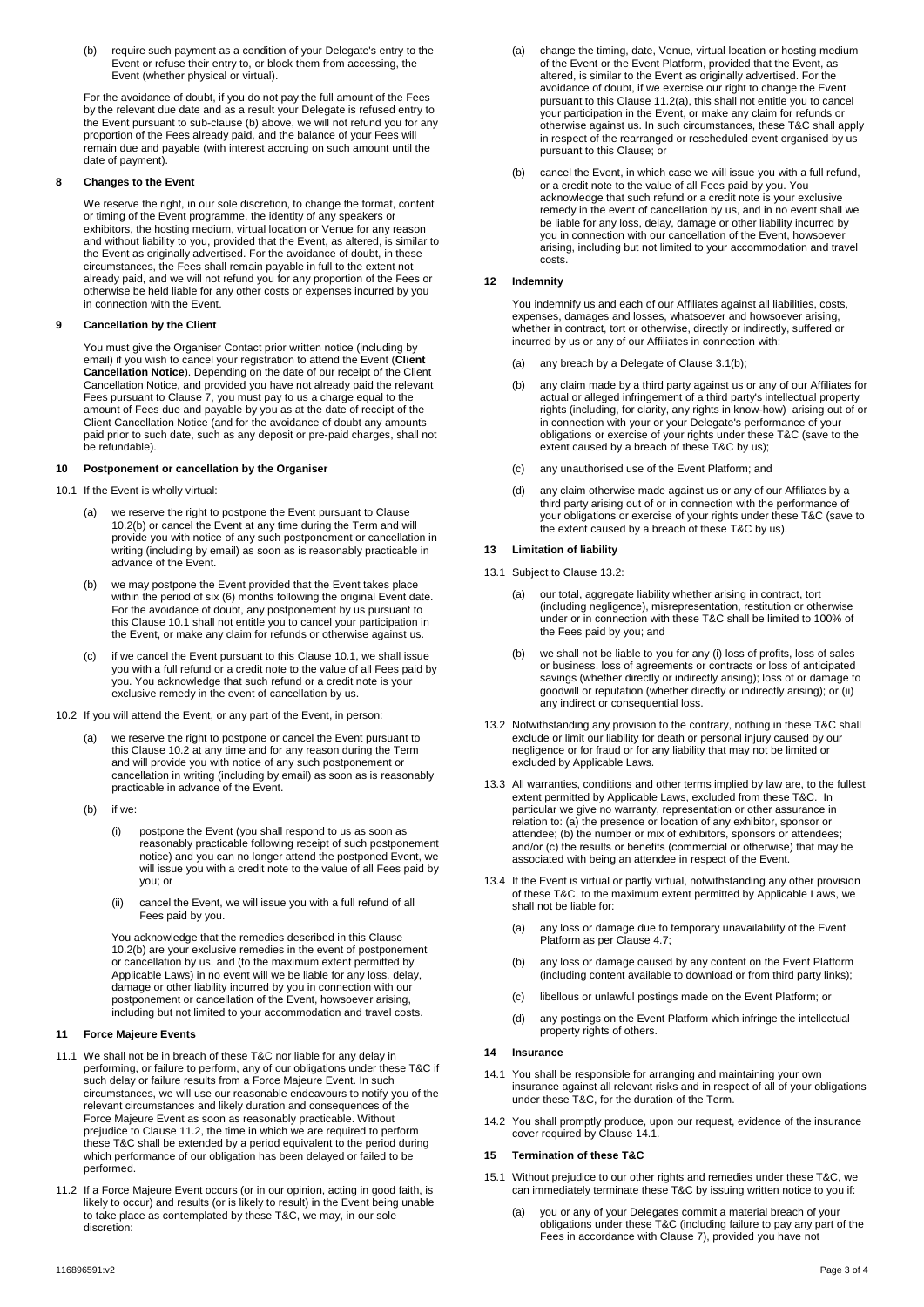(b) require such payment as a condition of your Delegate's entry to the Event or refuse their entry to, or block them from accessing, the Event (whether physical or virtual).

For the avoidance of doubt, if you do not pay the full amount of the Fees by the relevant due date and as a result your Delegate is refused entry to the Event pursuant to sub-clause (b) above, we will not refund you for any proportion of the Fees already paid, and the balance of your Fees will remain due and payable (with interest accruing on such amount until the date of payment).

#### **8 Changes to the Event**

We reserve the right, in our sole discretion, to change the format, content or timing of the Event programme, the identity of any speakers or exhibitors, the hosting medium, virtual location or Venue for any reason and without liability to you, provided that the Event, as altered, is similar to the Event as originally advertised. For the avoidance of doubt, in these circumstances, the Fees shall remain payable in full to the extent not already paid, and we will not refund you for any proportion of the Fees or otherwise be held liable for any other costs or expenses incurred by you in connection with the Event.

#### **9 Cancellation by the Client**

You must give the Organiser Contact prior written notice (including by email) if you wish to cancel your registration to attend the Event (**Client Cancellation Notice**). Depending on the date of our receipt of the Client Cancellation Notice, and provided you have not already paid the relevant Fees pursuant to Clause 7, you must pay to us a charge equal to the amount of Fees due and payable by you as at the date of receipt of the Client Cancellation Notice (and for the avoidance of doubt any amounts paid prior to such date, such as any deposit or pre-paid charges, shall not be refundable).

#### **10 Postponement or cancellation by the Organiser**

- 10.1 If the Event is wholly virtual:
	- we reserve the right to postpone the Event pursuant to Clause 10.2(b) or cancel the Event at any time during the Term and will provide you with notice of any such postponement or cancellation in writing (including by email) as soon as is reasonably practicable in advance of the Event.
	- (b) we may postpone the Event provided that the Event takes place within the period of six (6) months following the original Event date. For the avoidance of doubt, any postponement by us pursuant to this Clause 10.1 shall not entitle you to cancel your participation in the Event, or make any claim for refunds or otherwise against us.
	- if we cancel the Event pursuant to this Clause 10.1, we shall issue you with a full refund or a credit note to the value of all Fees paid by you. You acknowledge that such refund or a credit note is your exclusive remedy in the event of cancellation by us.
- 10.2 If you will attend the Event, or any part of the Event, in person:
	- we reserve the right to postpone or cancel the Event pursuant to this Clause 10.2 at any time and for any reason during the Term and will provide you with notice of any such postponement or cancellation in writing (including by email) as soon as is reasonably practicable in advance of the Event.
	- (b) if we:
		- postpone the Event (you shall respond to us as soon as reasonably practicable following receipt of such postponement notice) and you can no longer attend the postponed Event, we will issue you with a credit note to the value of all Fees paid by you; or
		- (ii) cancel the Event, we will issue you with a full refund of all Fees paid by you.

You acknowledge that the remedies described in this Clause 10.2(b) are your exclusive remedies in the event of postponement or cancellation by us, and (to the maximum extent permitted by Applicable Laws) in no event will we be liable for any loss, delay, damage or other liability incurred by you in connection with our postponement or cancellation of the Event, howsoever arising, including but not limited to your accommodation and travel costs.

#### **11 Force Majeure Events**

- 11.1 We shall not be in breach of these T&C nor liable for any delay in performing, or failure to perform, any of our obligations under these T&C if such delay or failure results from a Force Majeure Event. In such circumstances, we will use our reasonable endeavours to notify you of the relevant circumstances and likely duration and consequences of the Force Majeure Event as soon as reasonably practicable. Without prejudice to Clause 11.2, the time in which we are required to perform these T&C shall be extended by a period equivalent to the period during which performance of our obligation has been delayed or failed to be performed.
- 11.2 If a Force Majeure Event occurs (or in our opinion, acting in good faith, is likely to occur) and results (or is likely to result) in the Event being unable to take place as contemplated by these T&C, we may, in our sole discretion:
- (a) change the timing, date, Venue, virtual location or hosting medium of the Event or the Event Platform, provided that the Event, as altered, is similar to the Event as originally advertised. For the avoidance of doubt, if we exercise our right to change the Event pursuant to this Clause 11.2(a), this shall not entitle you to cancel your participation in the Event, or make any claim for refunds or otherwise against us. In such circumstances, these T&C shall apply in respect of the rearranged or rescheduled event organised by us pursuant to this Clause; or
- (b) cancel the Event, in which case we will issue you with a full refund, or a credit note to the value of all Fees paid by you. You acknowledge that such refund or a credit note is your exclusive remedy in the event of cancellation by us, and in no event shall we be liable for any loss, delay, damage or other liability incurred by you in connection with our cancellation of the Event, howsoever arising, including but not limited to your accommodation and travel costs.

#### **12 Indemnity**

You indemnify us and each of our Affiliates against all liabilities, costs, expenses, damages and losses, whatsoever and howsoever arising, whether in contract, tort or otherwise, directly or indirectly, suffered or incurred by us or any of our Affiliates in connection with:

- (a) any breach by a Delegate of Clause 3.1(b);
- (b) any claim made by a third party against us or any of our Affiliates for actual or alleged infringement of a third party's intellectual property rights (including, for clarity, any rights in know-how) arising out of or in connection with your or your Delegate's performance of your obligations or exercise of your rights under these T&C (save to the extent caused by a breach of these T&C by us);
- (c) any unauthorised use of the Event Platform; and
- (d) any claim otherwise made against us or any of our Affiliates by a third party arising out of or in connection with the performance of your obligations or exercise of your rights under these T&C (save to the extent caused by a breach of these T&C by us).

#### **13 Limitation of liability**

- 13.1 Subject to Clause 13.2:
	- (a) our total, aggregate liability whether arising in contract, tort (including negligence), misrepresentation, restitution or otherwise under or in connection with these T&C shall be limited to 100% of the Fees paid by you; and
	- (b) we shall not be liable to you for any (i) loss of profits, loss of sales or business, loss of agreements or contracts or loss of anticipated savings (whether directly or indirectly arising); loss of or damage to goodwill or reputation (whether directly or indirectly arising); or (ii) any indirect or consequential loss.
- 13.2 Notwithstanding any provision to the contrary, nothing in these T&C shall exclude or limit our liability for death or personal injury caused by our negligence or for fraud or for any liability that may not be limited or excluded by Applicable Laws.
- 13.3 All warranties, conditions and other terms implied by law are, to the fullest extent permitted by Applicable Laws, excluded from these T&C. In particular we give no warranty, representation or other assurance in relation to: (a) the presence or location of any exhibitor, sponsor or attendee; (b) the number or mix of exhibitors, sponsors or attendees; and/or (c) the results or benefits (commercial or otherwise) that may be associated with being an attendee in respect of the Event.
- 13.4 If the Event is virtual or partly virtual, notwithstanding any other provision of these T&C, to the maximum extent permitted by Applicable Laws, we shall not be liable for:
	- (a) any loss or damage due to temporary unavailability of the Event Platform as per Clause 4.7;
	- (b) any loss or damage caused by any content on the Event Platform (including content available to download or from third party links);
	- (c) libellous or unlawful postings made on the Event Platform; or
	- (d) any postings on the Event Platform which infringe the intellectual property rights of others.

#### **14 Insurance**

- 14.1 You shall be responsible for arranging and maintaining your own insurance against all relevant risks and in respect of all of your obligations under these T&C, for the duration of the Term.
- 14.2 You shall promptly produce, upon our request, evidence of the insurance cover required by Clause 14.1.

#### **15 Termination of these T&C**

- 15.1 Without prejudice to our other rights and remedies under these T&C, we can immediately terminate these T&C by issuing written notice to you if:
	- (a) you or any of your Delegates commit a material breach of your obligations under these T&C (including failure to pay any part of the Fees in accordance with Clause 7), provided you have not